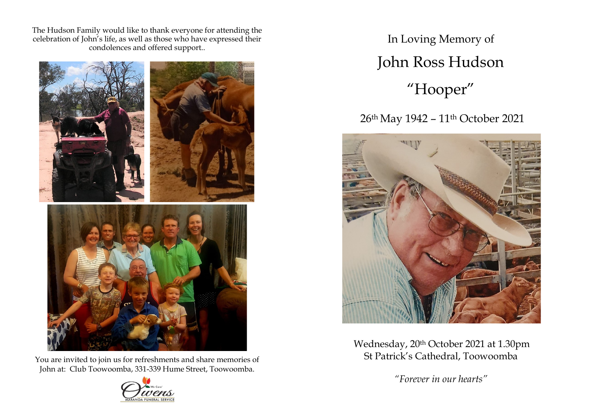The Hudson Family would like to thank everyone for attending the celebration of John's life, as well as those who have expressed their condolences and offered support..



You are invited to join us for refreshments and share memories of John at: Club Toowoomba, 331-339 Hume Street, Toowoomba.



In Loving Memory of John Ross Hudson "Hooper"

26<sup>th</sup> May 1942 - 11<sup>th</sup> October 2021



Wednesday, 20th October 2021 at 1.30pm St Patrick's Cathedral, Toowoomba

*"Forever in our hearts"*